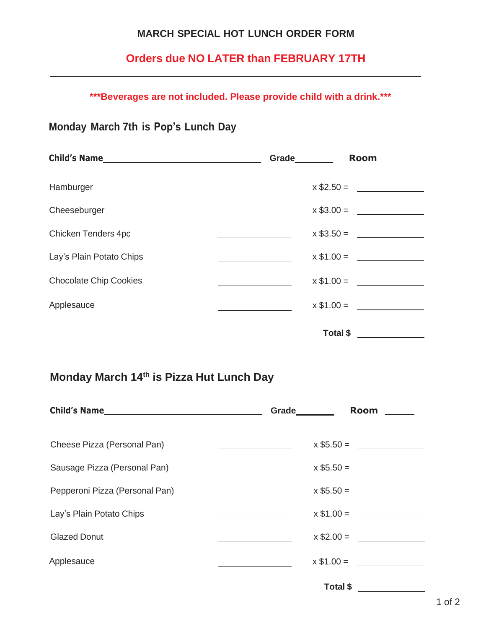### **MARCH SPECIAL HOT LUNCH ORDER FORM**

# **Orders due NO LATER than FEBRUARY 17TH**

**\*\*\*Beverages are not included. Please provide child with a drink.\*\*\***

## **Monday March 7th is Pop's Lunch Day**

| Child's Name                  | Grade | Room        |
|-------------------------------|-------|-------------|
| Hamburger                     |       |             |
| Cheeseburger                  |       | $x $3.00 =$ |
| Chicken Tenders 4pc           |       | $x $3.50 =$ |
| Lay's Plain Potato Chips      |       | $x $1.00 =$ |
| <b>Chocolate Chip Cookies</b> |       | $x $1.00 =$ |
| Applesauce                    |       | $x $1.00 =$ |
|                               |       | Total \$    |

# **Monday March 14th is Pizza Hut Lunch Day**

| Child's Name                   | Grade       | <b>Room</b>    |
|--------------------------------|-------------|----------------|
| Cheese Pizza (Personal Pan)    |             | $x $5.50 = \_$ |
| Sausage Pizza (Personal Pan)   |             | $x $5.50 =$    |
| Pepperoni Pizza (Personal Pan) |             |                |
| Lay's Plain Potato Chips       |             | $x $1.00 =$    |
| <b>Glazed Donut</b>            |             | $x $2.00 =$    |
| Applesauce                     | $x $1.00 =$ |                |
|                                | Total \$    |                |

1 of 2